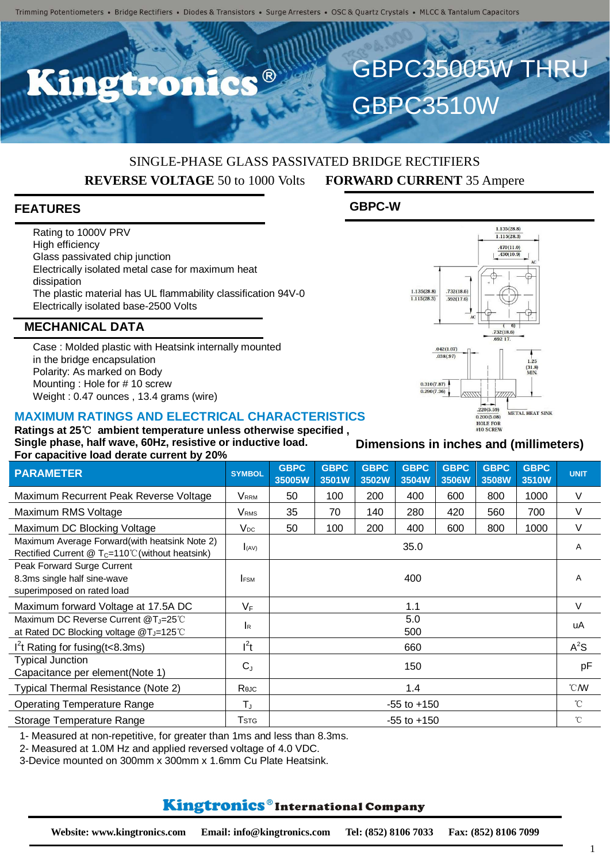$\bullet$   $\circledR$ 

## SINGLE-PHASE GLASS PASSIVATED BRIDGE RECTIFIERS **REVERSE VOLTAGE** 50 to 1000 Volts **FORWARD CURRENT** 35 Ampere

### **FEATURES**

Rating to 1000V PRV High efficiency Glass passivated chip junction Electrically isolated metal case for maximum heat dissipation The plastic material has UL flammability classification 94V-0 Electrically isolated base-2500 Volts

#### **MECHANICAL DATA**

Case : Molded plastic with Heatsink internally mounted in the bridge encapsulation Polarity: As marked on Body Mounting : Hole for # 10 screw Weight : 0.47 ounces , 13.4 grams (wire)

#### **MAXIMUM RATINGS AND ELECTRICAL CHARACTERISTICS**

**Ratings at 25**℃ **ambient temperature unless otherwise specified , Single phase, half wave, 60Hz, resistive or inductive load. For capacitive load derate current by 20%**

| <b>1 OF Capacitive load actate callent by 2070</b>                                                       |                         |                       |                      |                      |                      |                      |                      |                      |                  |
|----------------------------------------------------------------------------------------------------------|-------------------------|-----------------------|----------------------|----------------------|----------------------|----------------------|----------------------|----------------------|------------------|
| <b>PARAMETER</b>                                                                                         | <b>SYMBOL</b>           | <b>GBPC</b><br>35005W | <b>GBPC</b><br>3501W | <b>GBPC</b><br>3502W | <b>GBPC</b><br>3504W | <b>GBPC</b><br>3506W | <b>GBPC</b><br>3508W | <b>GBPC</b><br>3510W | <b>UNIT</b>      |
| Maximum Recurrent Peak Reverse Voltage                                                                   | Vrrm                    | 50                    | 100                  | 200                  | 400                  | 600                  | 800                  | 1000                 | V                |
| Maximum RMS Voltage                                                                                      | <b>V</b> <sub>RMS</sub> | 35                    | 70                   | 140                  | 280                  | 420                  | 560                  | 700                  | $\vee$           |
| Maximum DC Blocking Voltage                                                                              | $V_{DC}$                | 50                    | 100                  | 200                  | 400                  | 600                  | 800                  | 1000                 | V                |
| Maximum Average Forward(with heatsink Note 2)<br>Rectified Current $@T_c=110^{\circ}$ (without heatsink) | I(AV)                   | 35.0                  |                      |                      |                      |                      |                      |                      | A                |
| Peak Forward Surge Current<br>8.3ms single half sine-wave<br>superimposed on rated load                  | <b>IFSM</b>             | 400                   |                      |                      |                      |                      |                      |                      | Α                |
| Maximum forward Voltage at 17.5A DC                                                                      | $V_F$                   | 1.1                   |                      |                      |                      |                      |                      |                      | V                |
| Maximum DC Reverse Current @T <sub>J</sub> =25°C<br>at Rated DC Blocking voltage @T <sub>J</sub> =125℃   | <b>I</b> R              | 5.0<br>500            |                      |                      |                      |                      |                      |                      | uA               |
| $I2t$ Rating for fusing (t < 8.3ms)                                                                      | $l^2t$                  | 660                   |                      |                      |                      |                      |                      |                      | $A^2S$           |
| <b>Typical Junction</b><br>Capacitance per element(Note 1)                                               | $C_{J}$                 | 150                   |                      |                      |                      |                      |                      |                      | pF               |
| Typical Thermal Resistance (Note 2)                                                                      | Rejc                    | 1.4                   |                      |                      |                      |                      |                      |                      | $\mathcal{C}$ MV |
| <b>Operating Temperature Range</b>                                                                       | $T_{J}$                 | $-55$ to $+150$       |                      |                      |                      |                      |                      |                      | $^{\circ}C$      |
| Storage Temperature Range                                                                                | $\mathsf{T}$ stg        | $-55$ to $+150$       |                      |                      |                      |                      |                      |                      | $^{\circ}$ C     |

1- Measured at non-repetitive, for greater than 1ms and less than 8.3ms.

2- Measured at 1.0M Hz and applied reversed voltage of 4.0 VDC.

3-Device mounted on 300mm x 300mm x 1.6mm Cu Plate Heatsink.

# Kingtronics®International Company

**Dimensions in inches and (millimeters)**

 $.470(11.0)$  $.430(10.9)$  $1.135(28.8)$  $.732(18.6)$  $\frac{1.115(28.3)}{1.115(28.3)}$  $.592(17.6)$  $6$  $732(18.6)$  $.042(1.07)$  $.038(.97)$  $1.25$  $(31.8)$ <br>MIN.  $0.310(7.87)$  $0.290(7.36)$  $.220(5.59)$ METAL HEAT SINK  $0.200(5.08)$ HOLE FOR<br>#10 SCREW

 $1.135(28.8)$  $1.115(28.3)$